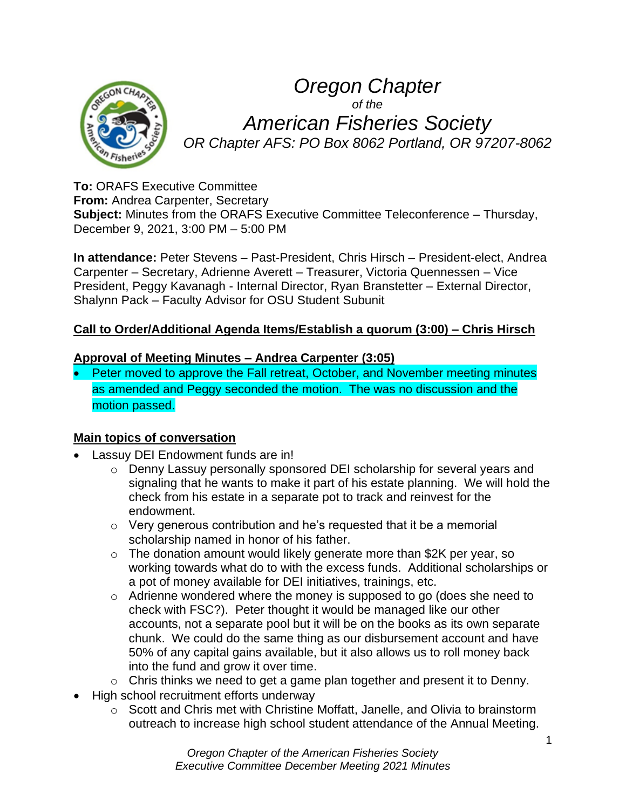

# *Oregon Chapter of the American Fisheries Society OR Chapter AFS: PO Box 8062 Portland, OR 97207-8062*

**To:** ORAFS Executive Committee **From:** Andrea Carpenter, Secretary

**Subject:** Minutes from the ORAFS Executive Committee Teleconference – Thursday, December 9, 2021, 3:00 PM – 5:00 PM

**In attendance:** Peter Stevens – Past-President, Chris Hirsch – President-elect, Andrea Carpenter – Secretary, Adrienne Averett – Treasurer, Victoria Quennessen – Vice President, Peggy Kavanagh - Internal Director, Ryan Branstetter – External Director, Shalynn Pack – Faculty Advisor for OSU Student Subunit

## **Call to Order/Additional Agenda Items/Establish a quorum (3:00) – Chris Hirsch**

### **Approval of Meeting Minutes – Andrea Carpenter (3:05)**

• Peter moved to approve the Fall retreat, October, and November meeting minutes as amended and Peggy seconded the motion. The was no discussion and the motion passed.

## **Main topics of conversation**

- Lassuy DEI Endowment funds are in!
	- o Denny Lassuy personally sponsored DEI scholarship for several years and signaling that he wants to make it part of his estate planning. We will hold the check from his estate in a separate pot to track and reinvest for the endowment.
	- $\circ$  Very generous contribution and he's requested that it be a memorial scholarship named in honor of his father.
	- o The donation amount would likely generate more than \$2K per year, so working towards what do to with the excess funds. Additional scholarships or a pot of money available for DEI initiatives, trainings, etc.
	- o Adrienne wondered where the money is supposed to go (does she need to check with FSC?). Peter thought it would be managed like our other accounts, not a separate pool but it will be on the books as its own separate chunk. We could do the same thing as our disbursement account and have 50% of any capital gains available, but it also allows us to roll money back into the fund and grow it over time.
	- o Chris thinks we need to get a game plan together and present it to Denny.
- High school recruitment efforts underway
	- o Scott and Chris met with Christine Moffatt, Janelle, and Olivia to brainstorm outreach to increase high school student attendance of the Annual Meeting.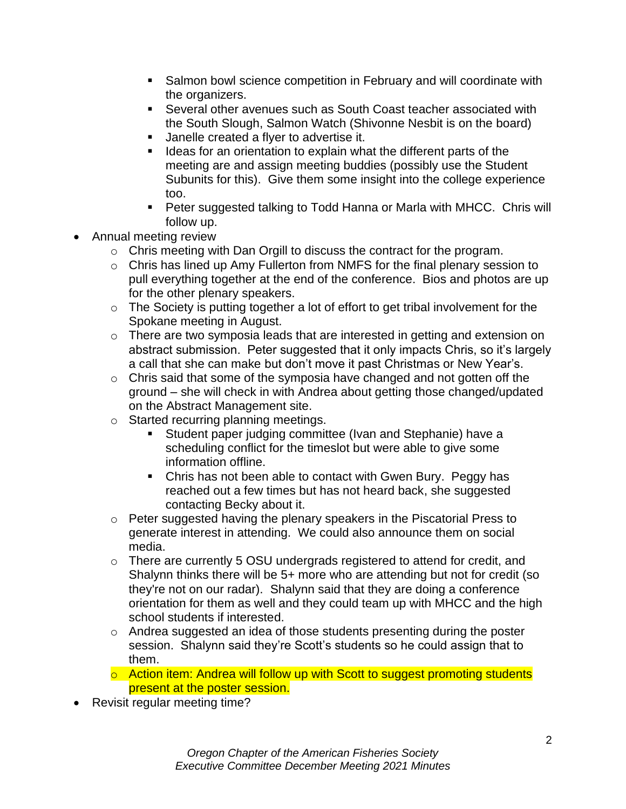- Salmon bowl science competition in February and will coordinate with the organizers.
- Several other avenues such as South Coast teacher associated with the South Slough, Salmon Watch (Shivonne Nesbit is on the board)
- Janelle created a flyer to advertise it.
- **EXED** Ideas for an orientation to explain what the different parts of the meeting are and assign meeting buddies (possibly use the Student Subunits for this). Give them some insight into the college experience too.
- Peter suggested talking to Todd Hanna or Marla with MHCC. Chris will follow up.
- Annual meeting review
	- o Chris meeting with Dan Orgill to discuss the contract for the program.
	- o Chris has lined up Amy Fullerton from NMFS for the final plenary session to pull everything together at the end of the conference. Bios and photos are up for the other plenary speakers.
	- o The Society is putting together a lot of effort to get tribal involvement for the Spokane meeting in August.
	- o There are two symposia leads that are interested in getting and extension on abstract submission. Peter suggested that it only impacts Chris, so it's largely a call that she can make but don't move it past Christmas or New Year's.
	- o Chris said that some of the symposia have changed and not gotten off the ground – she will check in with Andrea about getting those changed/updated on the Abstract Management site.
	- o Started recurring planning meetings.
		- Student paper judging committee (Ivan and Stephanie) have a scheduling conflict for the timeslot but were able to give some information offline.
		- Chris has not been able to contact with Gwen Bury. Peggy has reached out a few times but has not heard back, she suggested contacting Becky about it.
	- o Peter suggested having the plenary speakers in the Piscatorial Press to generate interest in attending. We could also announce them on social media.
	- $\circ$  There are currently 5 OSU undergrads registered to attend for credit, and Shalynn thinks there will be 5+ more who are attending but not for credit (so they're not on our radar). Shalynn said that they are doing a conference orientation for them as well and they could team up with MHCC and the high school students if interested.
	- o Andrea suggested an idea of those students presenting during the poster session. Shalynn said they're Scott's students so he could assign that to them.
	- o Action item: Andrea will follow up with Scott to suggest promoting students present at the poster session.
- Revisit regular meeting time?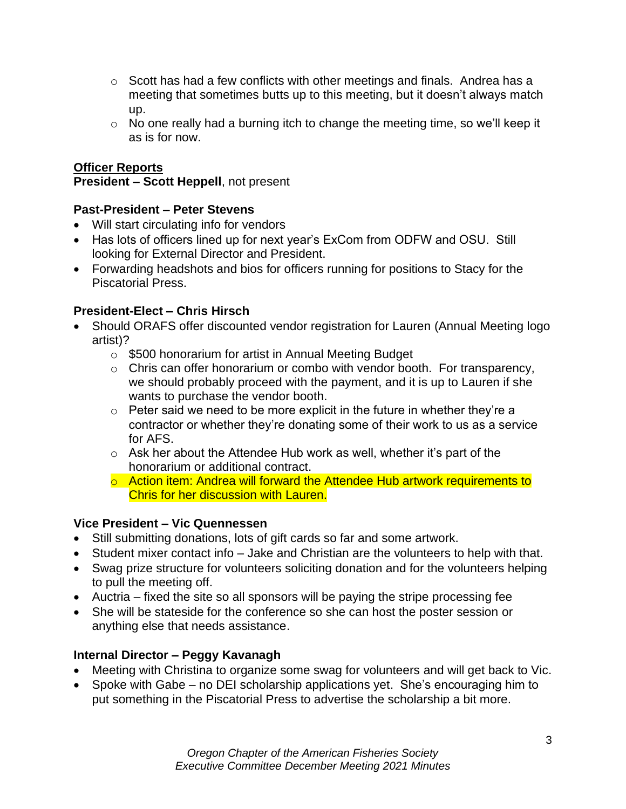- $\circ$  Scott has had a few conflicts with other meetings and finals. Andrea has a meeting that sometimes butts up to this meeting, but it doesn't always match up.
- o No one really had a burning itch to change the meeting time, so we'll keep it as is for now.

## **Officer Reports**

### **President – Scott Heppell**, not present

## **Past-President – Peter Stevens**

- Will start circulating info for vendors
- Has lots of officers lined up for next year's ExCom from ODFW and OSU. Still looking for External Director and President.
- Forwarding headshots and bios for officers running for positions to Stacy for the Piscatorial Press.

## **President-Elect – Chris Hirsch**

- Should ORAFS offer discounted vendor registration for Lauren (Annual Meeting logo artist)?
	- o \$500 honorarium for artist in Annual Meeting Budget
	- o Chris can offer honorarium or combo with vendor booth. For transparency, we should probably proceed with the payment, and it is up to Lauren if she wants to purchase the vendor booth.
	- $\circ$  Peter said we need to be more explicit in the future in whether they're a contractor or whether they're donating some of their work to us as a service for AFS.
	- $\circ$  Ask her about the Attendee Hub work as well, whether it's part of the honorarium or additional contract.
	- o Action item: Andrea will forward the Attendee Hub artwork requirements to Chris for her discussion with Lauren.

#### **Vice President – Vic Quennessen**

- Still submitting donations, lots of gift cards so far and some artwork.
- Student mixer contact info Jake and Christian are the volunteers to help with that.
- Swag prize structure for volunteers soliciting donation and for the volunteers helping to pull the meeting off.
- Auctria fixed the site so all sponsors will be paying the stripe processing fee
- She will be stateside for the conference so she can host the poster session or anything else that needs assistance.

## **Internal Director – Peggy Kavanagh**

- Meeting with Christina to organize some swag for volunteers and will get back to Vic.
- Spoke with Gabe no DEI scholarship applications yet. She's encouraging him to put something in the Piscatorial Press to advertise the scholarship a bit more.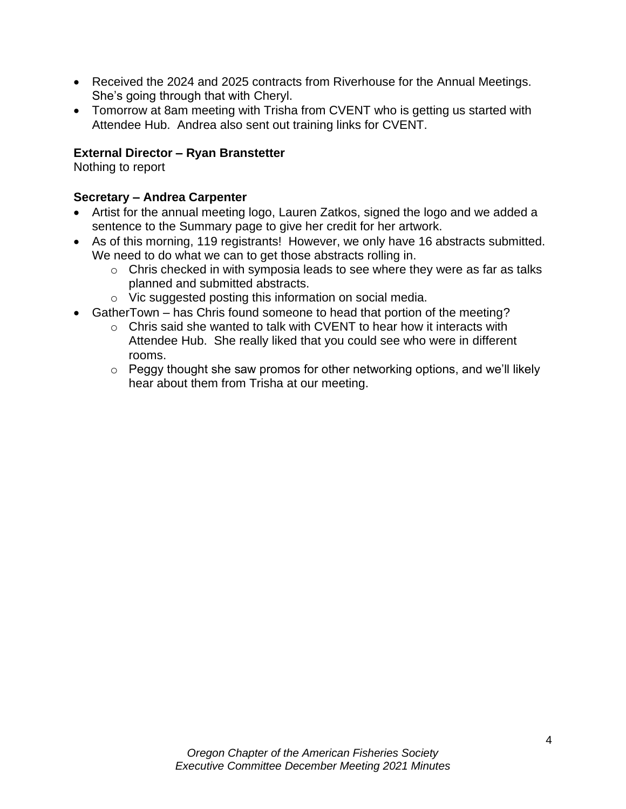- Received the 2024 and 2025 contracts from Riverhouse for the Annual Meetings. She's going through that with Cheryl.
- Tomorrow at 8am meeting with Trisha from CVENT who is getting us started with Attendee Hub. Andrea also sent out training links for CVENT.

## **External Director – Ryan Branstetter**

Nothing to report

## **Secretary – Andrea Carpenter**

- Artist for the annual meeting logo, Lauren Zatkos, signed the logo and we added a sentence to the Summary page to give her credit for her artwork.
- As of this morning, 119 registrants! However, we only have 16 abstracts submitted. We need to do what we can to get those abstracts rolling in.
	- o Chris checked in with symposia leads to see where they were as far as talks planned and submitted abstracts.
	- o Vic suggested posting this information on social media.
- GatherTown has Chris found someone to head that portion of the meeting?
	- $\circ$  Chris said she wanted to talk with CVENT to hear how it interacts with Attendee Hub. She really liked that you could see who were in different rooms.
	- $\circ$  Peggy thought she saw promos for other networking options, and we'll likely hear about them from Trisha at our meeting.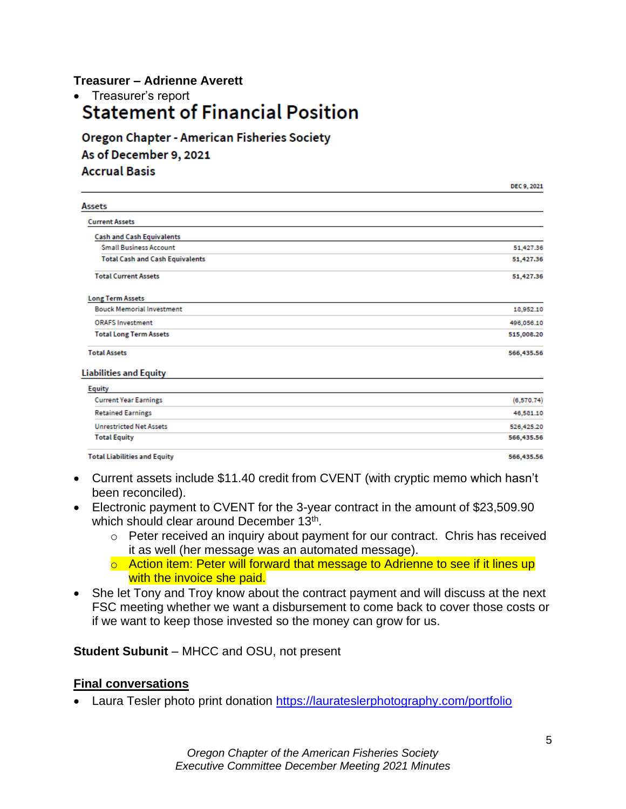### **Treasurer – Adrienne Averett**

• Treasurer's report<br>Statement of Financial Position

**Oregon Chapter - American Fisheries Society** As of December 9, 2021 **Accrual Basis** 

|                                        | DEC 9, 2021 |
|----------------------------------------|-------------|
| Assets                                 |             |
| <b>Current Assets</b>                  |             |
| <b>Cash and Cash Equivalents</b>       |             |
| <b>Small Business Account</b>          | 51,427.36   |
| <b>Total Cash and Cash Equivalents</b> | 51,427.36   |
| <b>Total Current Assets</b>            | 51,427.36   |
| <b>Long Term Assets</b>                |             |
| <b>Bouck Memorial Investment</b>       | 18,952.10   |
| <b>ORAFS Investment</b>                | 496,056.10  |
| <b>Total Long Term Assets</b>          | 515,008.20  |
| <b>Total Assets</b>                    | 566,435.56  |
| <b>Liabilities and Equity</b>          |             |
| <b>Equity</b>                          |             |
| <b>Current Year Earnings</b>           | (6,570.74)  |
| <b>Retained Earnings</b>               | 46,581.10   |
| <b>Unrestricted Net Assets</b>         | 526,425.20  |

**Total Liabilities and Equity** 

**Total Equity** 

- Current assets include \$11.40 credit from CVENT (with cryptic memo which hasn't been reconciled).
- Electronic payment to CVENT for the 3-year contract in the amount of \$23,509.90 which should clear around December 13<sup>th</sup>.
	- o Peter received an inquiry about payment for our contract. Chris has received it as well (her message was an automated message).
	- o Action item: Peter will forward that message to Adrienne to see if it lines up with the invoice she paid.
- She let Tony and Troy know about the contract payment and will discuss at the next FSC meeting whether we want a disbursement to come back to cover those costs or if we want to keep those invested so the money can grow for us.

#### **Student Subunit** – MHCC and OSU, not present

#### **Final conversations**

• Laura Tesler photo print donation <https://laurateslerphotography.com/portfolio>

566,435.56

566,435.56